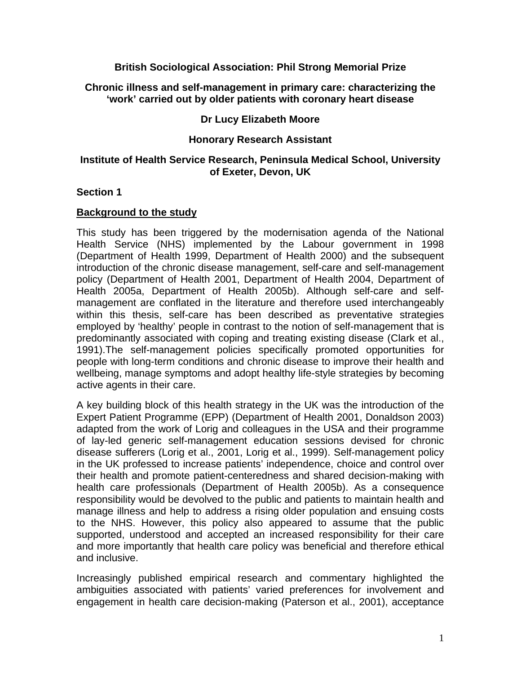## **British Sociological Association: Phil Strong Memorial Prize**

### <span id="page-0-0"></span>**Chronic illness and self-management in primary care: characterizing the 'work' carried out by older patients with coronary heart disease**

## **Dr Lucy Elizabeth Moore**

### **Honorary Research Assistant**

### **Institute of Health Service Research, Peninsula Medical School, University of Exeter, Devon, UK**

### **Section 1**

### **Background to the study**

This study has been triggered by the modernisation agenda of the National Health Service (NHS) implemented by the Labour government in 1998 (Department of Health 1999, Department of Health 2000) and the subsequent introduction of the chronic disease management, self-care and self-management policy (Department of Health 2001, Department of Health 2004, Department of Health 2005a, Department of Health 2005b). Although self-care and selfmanagement are conflated in the literature and therefore used interchangeably within this thesis, self-care has been described as preventative strategies employed by 'healthy' people in contrast to the notion of self-management that is predominantly associated with coping and treating existing disease [\(Clark et al.,](#page-4-0)  [1991\)](#page-4-0).The self-management policies specifically promoted opportunities for people with long-term conditions and chronic disease to improve their health and wellbeing, manage symptoms and adopt healthy life-style strategies by becoming active agents in their care.

A key building block of this health strategy in the UK was the introduction of the Expert Patient Programme (EPP) (Department of Health 2001, Donaldson 2003) adapted from the work of Lorig and colleagues in the USA and their programme of lay-led generic self-management education sessions devised for chronic disease sufferers (Lorig et al., 2001, Lorig et al., 1999). Self-management policy in the UK professed to increase patients' independence, choice and control over their health and promote patient-centeredness and shared decision-making with health care professionals (Department of Health 2005b). As a consequence responsibility would be devolved to the public and patients to maintain health and manage illness and help to address a rising older population and ensuing costs to the NHS. However, this policy also appeared to assume that the public supported, understood and accepted an increased responsibility for their care and more importantly that health care policy was beneficial and therefore ethical and inclusive.

Increasingly published empirical research and commentary highlighted the ambiguities associated with patients' varied preferences for involvement and engagement in health care decision-making ([Paterson et al., 2001\)](#page-6-0), acceptance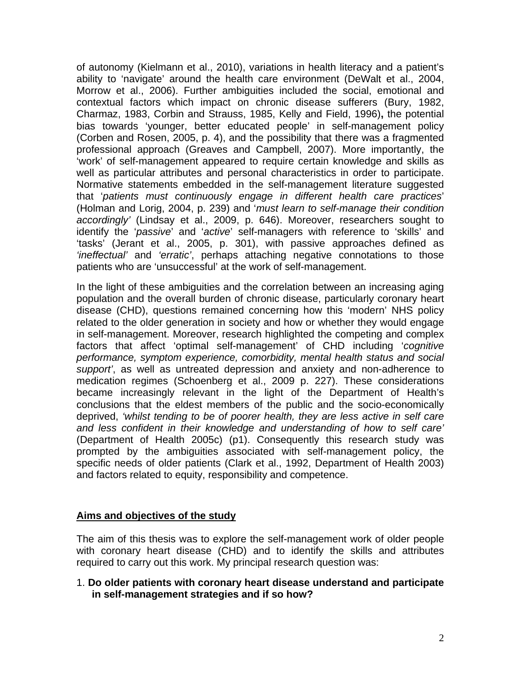of autonomy [\(Kielmann et al., 2010](#page-5-0)), variations in health literacy and a patient's ability to 'navigate' around the health care environment ([DeWalt et al., 2004,](#page-0-0) [Morrow et al., 2006](#page-6-0)). Further ambiguities included the social, emotional and contextual factors which impact on chronic disease sufferers ([Bury, 1982,](#page-4-0) [Charmaz, 1983](#page-4-0), [Corbin and Strauss, 1985](#page-4-0), [Kelly and Field, 1996\)](#page-5-0)**,** the potential bias towards 'younger, better educated people' in self-management policy ([Corben and Rosen, 2005, p. 4\)](#page-4-0), and the possibility that there was a fragmented professional approach [\(Greaves and Campbell, 2007](#page-5-0)). More importantly, the 'work' of self-management appeared to require certain knowledge and skills as well as particular attributes and personal characteristics in order to participate. Normative statements embedded in the self-management literature suggested that '*patients must continuously engage in different health care practices*' ([Holman and Lorig, 2004, p. 239](#page-5-0)) and '*must learn to self-manage their condition accordingly'* ([Lindsay et al., 2009, p. 646\)](#page-5-0). Moreover, researchers sought to identify the '*passive*' and '*active*' self-managers with reference to 'skills' and 'tasks' ([Jerant et al., 2005, p. 301](#page-5-0)), with passive approaches defined as *'ineffectual'* and *'erratic'*, perhaps attaching negative connotations to those patients who are 'unsuccessful' at the work of self-management.

In the light of these ambiguities and the correlation between an increasing aging population and the overall burden of chronic disease, particularly coronary heart disease (CHD), questions remained concerning how this 'modern' NHS policy related to the older generation in society and how or whether they would engage in self-management. Moreover, research highlighted the competing and complex factors that affect 'optimal self-management' of CHD including '*cognitive performance, symptom experience, comorbidity, mental health status and social support'*, as well as untreated depression and anxiety and non-adherence to medication regimes (Schoenberg et al., 2009 p. 227). These considerations became increasingly relevant in the light of the Department of Health's conclusions that the eldest members of the public and the socio-economically deprived, *'whilst tending to be of poorer health, they are less active in self care and less confident in their knowledge and understanding of how to self care'* (Department of Health 2005c) (p1). Consequently this research study was prompted by the ambiguities associated with self-management policy, the specific needs of older patients (Clark et al., 1992, Department of Health 2003) and factors related to equity, responsibility and competence.

## **Aims and objectives of the study**

The aim of this thesis was to explore the self-management work of older people with coronary heart disease (CHD) and to identify the skills and attributes required to carry out this work. My principal research question was:

1. **Do older patients with coronary heart disease understand and participate in self-management strategies and if so how?**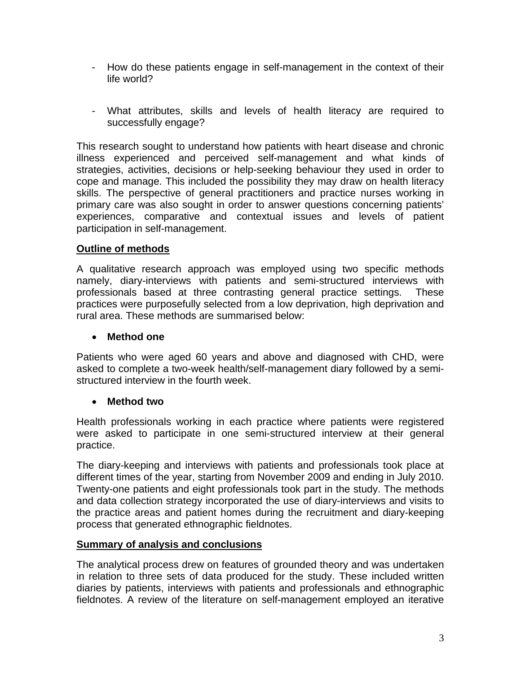- How do these patients engage in self-management in the context of their life world?
- What attributes, skills and levels of health literacy are required to successfully engage?

This research sought to understand how patients with heart disease and chronic illness experienced and perceived self-management and what kinds of strategies, activities, decisions or help-seeking behaviour they used in order to cope and manage. This included the possibility they may draw on health literacy skills. The perspective of general practitioners and practice nurses working in primary care was also sought in order to answer questions concerning patients' experiences, comparative and contextual issues and levels of patient participation in self-management.

# **Outline of methods**

A qualitative research approach was employed using two specific methods namely, diary-interviews with patients and semi-structured interviews with professionals based at three contrasting general practice settings. These practices were purposefully selected from a low deprivation, high deprivation and rural area. These methods are summarised below:

## • **Method one**

Patients who were aged 60 years and above and diagnosed with CHD, were asked to complete a two-week health/self-management diary followed by a semistructured interview in the fourth week.

# • **Method two**

Health professionals working in each practice where patients were registered were asked to participate in one semi-structured interview at their general practice.

The diary-keeping and interviews with patients and professionals took place at different times of the year, starting from November 2009 and ending in July 2010. Twenty-one patients and eight professionals took part in the study. The methods and data collection strategy incorporated the use of diary-interviews and visits to the practice areas and patient homes during the recruitment and diary-keeping process that generated ethnographic fieldnotes.

# **Summary of analysis and conclusions**

The analytical process drew on features of grounded theory and was undertaken in relation to three sets of data produced for the study. These included written diaries by patients, interviews with patients and professionals and ethnographic fieldnotes. A review of the literature on self-management employed an iterative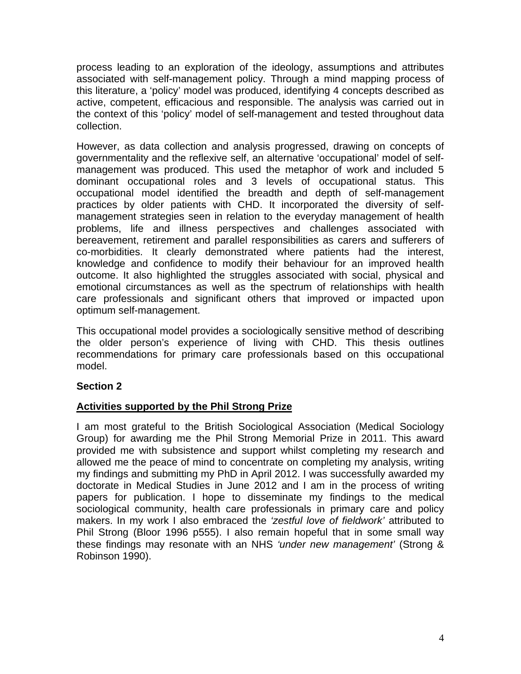process leading to an exploration of the ideology, assumptions and attributes associated with self-management policy. Through a mind mapping process of this literature, a 'policy' model was produced, identifying 4 concepts described as active, competent, efficacious and responsible. The analysis was carried out in the context of this 'policy' model of self-management and tested throughout data collection.

However, as data collection and analysis progressed, drawing on concepts of governmentality and the reflexive self, an alternative 'occupational' model of selfmanagement was produced. This used the metaphor of work and included 5 dominant occupational roles and 3 levels of occupational status. This occupational model identified the breadth and depth of self-management practices by older patients with CHD. It incorporated the diversity of selfmanagement strategies seen in relation to the everyday management of health problems, life and illness perspectives and challenges associated with bereavement, retirement and parallel responsibilities as carers and sufferers of co-morbidities. It clearly demonstrated where patients had the interest, knowledge and confidence to modify their behaviour for an improved health outcome. It also highlighted the struggles associated with social, physical and emotional circumstances as well as the spectrum of relationships with health care professionals and significant others that improved or impacted upon optimum self-management.

This occupational model provides a sociologically sensitive method of describing the older person's experience of living with CHD. This thesis outlines recommendations for primary care professionals based on this occupational model.

# **Section 2**

## **Activities supported by the Phil Strong Prize**

I am most grateful to the British Sociological Association (Medical Sociology Group) for awarding me the Phil Strong Memorial Prize in 2011. This award provided me with subsistence and support whilst completing my research and allowed me the peace of mind to concentrate on completing my analysis, writing my findings and submitting my PhD in April 2012. I was successfully awarded my doctorate in Medical Studies in June 2012 and I am in the process of writing papers for publication. I hope to disseminate my findings to the medical sociological community, health care professionals in primary care and policy makers. In my work I also embraced the *'zestful love of fieldwork'* attributed to Phil Strong (Bloor 1996 p555). I also remain hopeful that in some small way these findings may resonate with an NHS *'under new management'* (Strong & Robinson 1990).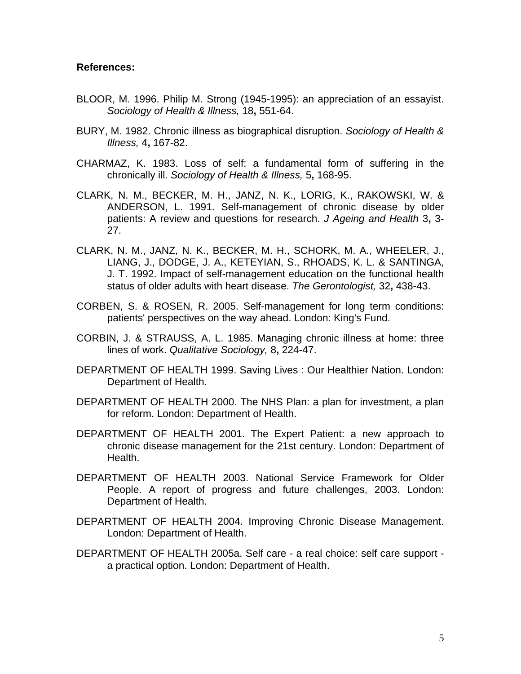### <span id="page-4-0"></span>**References:**

- BLOOR, M. 1996. Philip M. Strong (1945-1995): an appreciation of an essayist. *Sociology of Health & Illness,* 18**,** 551-64.
- BURY, M. 1982. Chronic illness as biographical disruption. *Sociology of Health & Illness,* 4**,** 167-82.
- CHARMAZ, K. 1983. Loss of self: a fundamental form of suffering in the chronically ill. *Sociology of Health & Illness,* 5**,** 168-95.
- CLARK, N. M., BECKER, M. H., JANZ, N. K., LORIG, K., RAKOWSKI, W. & ANDERSON, L. 1991. Self-management of chronic disease by older patients: A review and questions for research. *J Ageing and Health* 3**,** 3- 27.
- CLARK, N. M., JANZ, N. K., BECKER, M. H., SCHORK, M. A., WHEELER, J., LIANG, J., DODGE, J. A., KETEYIAN, S., RHOADS, K. L. & SANTINGA, J. T. 1992. Impact of self-management education on the functional health status of older adults with heart disease. *The Gerontologist,* 32**,** 438-43.
- CORBEN, S. & ROSEN, R. 2005. Self-management for long term conditions: patients' perspectives on the way ahead. London: King's Fund.
- CORBIN, J. & STRAUSS, A. L. 1985. Managing chronic illness at home: three lines of work. *Qualitative Sociology,* 8**,** 224-47.
- DEPARTMENT OF HEALTH 1999. Saving Lives : Our Healthier Nation. London: Department of Health.
- DEPARTMENT OF HEALTH 2000. The NHS Plan: a plan for investment, a plan for reform. London: Department of Health.
- DEPARTMENT OF HEALTH 2001. The Expert Patient: a new approach to chronic disease management for the 21st century. London: Department of Health.
- DEPARTMENT OF HEALTH 2003. National Service Framework for Older People. A report of progress and future challenges, 2003. London: Department of Health.
- DEPARTMENT OF HEALTH 2004. Improving Chronic Disease Management. London: Department of Health.
- DEPARTMENT OF HEALTH 2005a. Self care a real choice: self care support a practical option. London: Department of Health.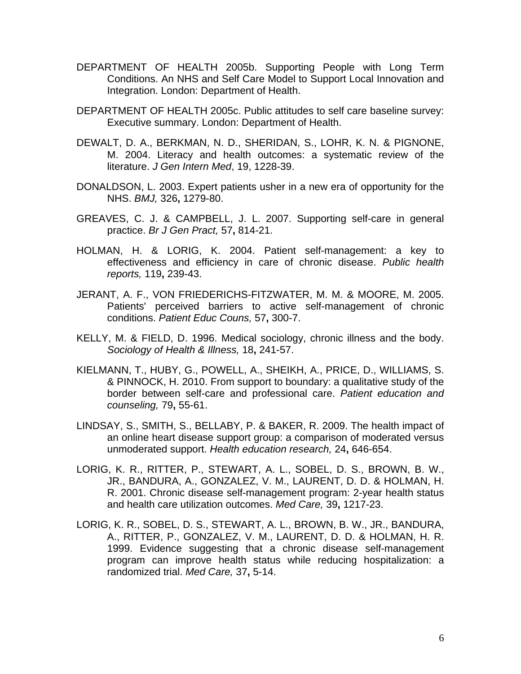- <span id="page-5-0"></span>DEPARTMENT OF HEALTH 2005b. Supporting People with Long Term Conditions. An NHS and Self Care Model to Support Local Innovation and Integration. London: Department of Health.
- DEPARTMENT OF HEALTH 2005c. Public attitudes to self care baseline survey: Executive summary. London: Department of Health.
- DEWALT, D. A., BERKMAN, N. D., SHERIDAN, S., LOHR, K. N. & PIGNONE, M. 2004. Literacy and health outcomes: a systematic review of the literature. *J Gen Intern Med*, 19, 1228-39.
- DONALDSON, L. 2003. Expert patients usher in a new era of opportunity for the NHS. *BMJ,* 326**,** 1279-80.
- GREAVES, C. J. & CAMPBELL, J. L. 2007. Supporting self-care in general practice. *Br J Gen Pract,* 57**,** 814-21.
- HOLMAN, H. & LORIG, K. 2004. Patient self-management: a key to effectiveness and efficiency in care of chronic disease. *Public health reports,* 119**,** 239-43.
- JERANT, A. F., VON FRIEDERICHS-FITZWATER, M. M. & MOORE, M. 2005. Patients' perceived barriers to active self-management of chronic conditions. *Patient Educ Couns,* 57**,** 300-7.
- KELLY, M. & FIELD, D. 1996. Medical sociology, chronic illness and the body. *Sociology of Health & Illness,* 18**,** 241-57.
- KIELMANN, T., HUBY, G., POWELL, A., SHEIKH, A., PRICE, D., WILLIAMS, S. & PINNOCK, H. 2010. From support to boundary: a qualitative study of the border between self-care and professional care. *Patient education and counseling,* 79**,** 55-61.
- LINDSAY, S., SMITH, S., BELLABY, P. & BAKER, R. 2009. The health impact of an online heart disease support group: a comparison of moderated versus unmoderated support. *Health education research,* 24**,** 646-654.
- LORIG, K. R., RITTER, P., STEWART, A. L., SOBEL, D. S., BROWN, B. W., JR., BANDURA, A., GONZALEZ, V. M., LAURENT, D. D. & HOLMAN, H. R. 2001. Chronic disease self-management program: 2-year health status and health care utilization outcomes. *Med Care,* 39**,** 1217-23.
- LORIG, K. R., SOBEL, D. S., STEWART, A. L., BROWN, B. W., JR., BANDURA, A., RITTER, P., GONZALEZ, V. M., LAURENT, D. D. & HOLMAN, H. R. 1999. Evidence suggesting that a chronic disease self-management program can improve health status while reducing hospitalization: a randomized trial. *Med Care,* 37**,** 5-14.